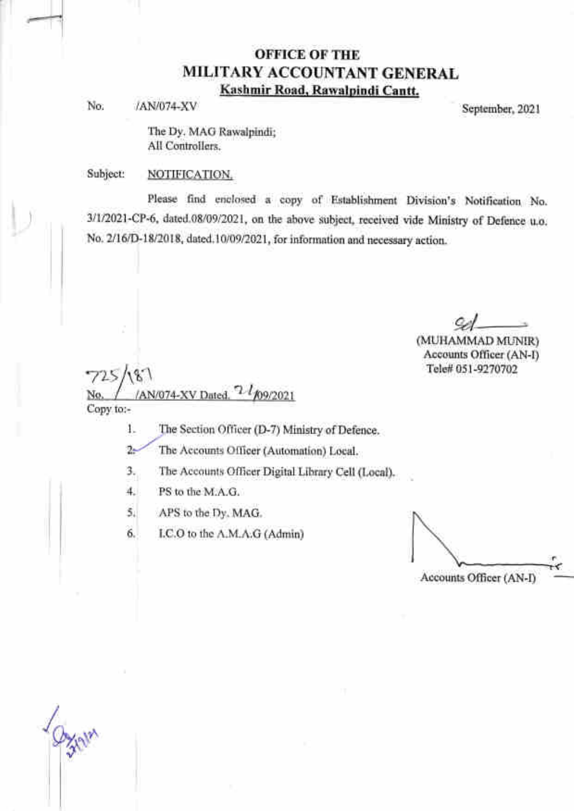## OFFICE OF THE MILITARY ACCOUNTANT GENERAL Kashmir Road, Rawalpindi Cantt.

No. /AN/074-XV September, 2021

The Dy. MAG Rawalpindi; All Controllers.

Subject: NOTIFICATION.

Please find enclosed a copy of Establishment Division's Notification No. 3/1/2021-CP-6, dated.08/09/2021, on the above subject, received vide Ministry of Defence u.o. No. 2/16/D-18/2018, dated.10/09/2021, for information and necessary action.

(MUHAMMAD MLINIR) Accounts Officer (AN-D Tele# 051-9270702

77t Copy to:-  $\ell$ 

1. The Section Officer (D-7) Ministry of Defence.

 $2 -$ The Accounts O{ficer (Automation) Local.

The Accounts Officer Digital Library Cell (Local). a

PS to the M.A.G. 4.

APS to the Dy. MAG. 5.

I.C.O to the A.M.A.G (Admin) 6.

Accounts Officer (AN-D r

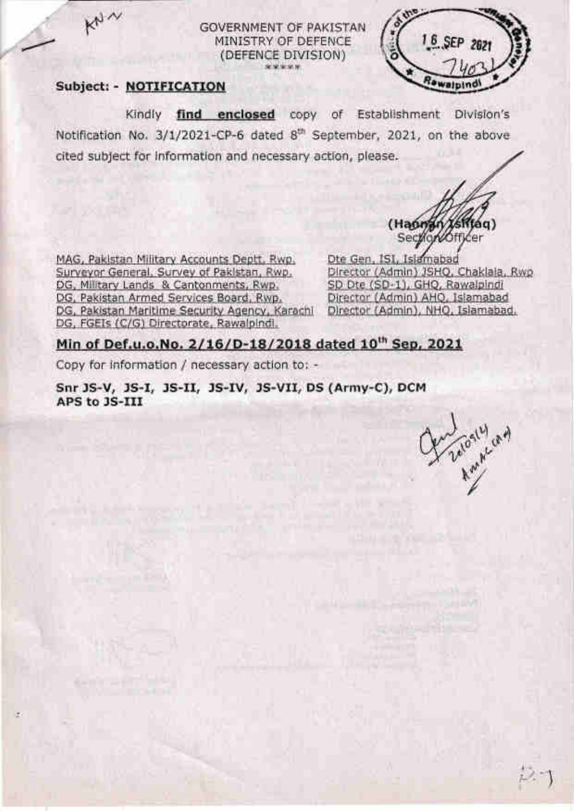### GOVERNMENT OF PAKISTAN MINISTRY OF DEFENCE (DEFENCE DIVISION) \$1.95.95.95



 $k_{\nu}$ 

Kindly find enclosed copy of Establishment Division's Notification No. 3/1/2021-CP-6 dated 8<sup>th</sup> September, 2021, on the above cited subject for information and necessary action, please.

(Haunan Xs Section

16 SEP 202

MAG, Pakistan Military Accounts Deptt, Rwp. Surveyor General, Survey of Pakistan, Rwp. DG, Military Lands & Cantonments, Rwp. DG, Pakistan Armed Services Board, Rwp. DG, Pakistan Maritime Security Agency, Karachi DG, FGEIs (C/G) Directorate, Rawalpindi.

Dte Gen, ISI, Islamabad Director (Admin) JSHO, Chaklala, Rwp SD Dte (SD-1), GHQ, Rawalpindi Director (Admin) AHQ, Islamabad Director (Admin), NHO, Islamabad.

## Min of Def.u.o.No. 2/16/D-18/2018 dated 10<sup>th</sup> Sep. 2021

Copy for information / necessary action to: -

Snr JS-V, JS-I, JS-II, JS-IV, JS-VII, DS (Army-C), DCM APS to JS-III